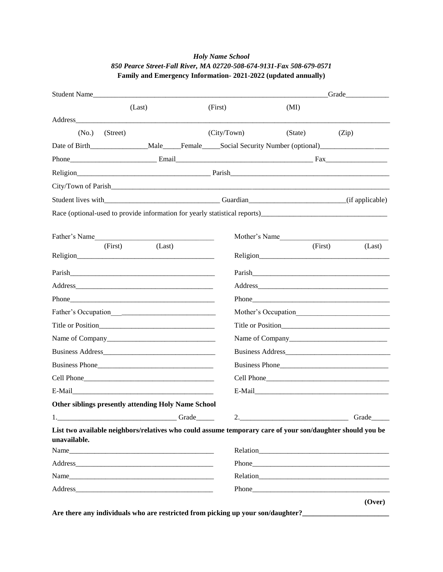## *Holy Name School 850 Pearce Street-Fall River, MA 02720-508-674-9131-Fax 508-679-0571* **Family and Emergency Information- 2021-2022 (updated annually)**

| Student Name |                                                                                                                |  |             |               | Grade                                                                                                          |
|--------------|----------------------------------------------------------------------------------------------------------------|--|-------------|---------------|----------------------------------------------------------------------------------------------------------------|
|              | (Last)                                                                                                         |  | (First)     | (MI)          |                                                                                                                |
|              |                                                                                                                |  |             |               |                                                                                                                |
| (No.)        | (Street)                                                                                                       |  | (City/Town) | (State)       | (Zip)                                                                                                          |
|              |                                                                                                                |  |             |               | Date of Birth______________________Male______Female______Social Security Number (optional)____________________ |
|              |                                                                                                                |  |             |               |                                                                                                                |
|              |                                                                                                                |  |             |               |                                                                                                                |
|              |                                                                                                                |  |             |               |                                                                                                                |
|              |                                                                                                                |  |             |               |                                                                                                                |
|              |                                                                                                                |  |             |               |                                                                                                                |
|              | Father's Name                                                                                                  |  |             | Mother's Name |                                                                                                                |
|              | (First)<br>(Last)                                                                                              |  |             | (First)       | (Last)                                                                                                         |
|              | Religion entertainment and the contract of the contract of the contract of the contract of the contract of the |  |             |               | Religion                                                                                                       |
|              |                                                                                                                |  |             |               |                                                                                                                |
|              |                                                                                                                |  |             |               |                                                                                                                |
|              |                                                                                                                |  |             |               |                                                                                                                |
|              |                                                                                                                |  |             |               |                                                                                                                |
|              |                                                                                                                |  |             |               |                                                                                                                |
|              |                                                                                                                |  |             |               |                                                                                                                |
|              |                                                                                                                |  |             |               |                                                                                                                |
|              |                                                                                                                |  |             |               | Business Phone                                                                                                 |
|              |                                                                                                                |  |             |               |                                                                                                                |
|              |                                                                                                                |  |             |               | E-Mail 2008 2010 2020 2020 2021 2021 2022 2021 2022 2021 2022 2022 2022 2022 2022 2022 2022 2022 2022 2022 20  |
|              | <b>Other siblings presently attending Holy Name School</b>                                                     |  |             |               |                                                                                                                |
|              | 1. Grade                                                                                                       |  |             |               | 2. Grade                                                                                                       |
| unavailable. | List two available neighbors/relatives who could assume temporary care of your son/daughter should you be      |  |             |               |                                                                                                                |
|              |                                                                                                                |  |             |               |                                                                                                                |
|              |                                                                                                                |  |             |               |                                                                                                                |
|              | Name                                                                                                           |  |             |               |                                                                                                                |
|              |                                                                                                                |  |             |               |                                                                                                                |
|              |                                                                                                                |  |             |               | (Over)                                                                                                         |

Are there any individuals who are restricted from picking up your son/daughter?\_